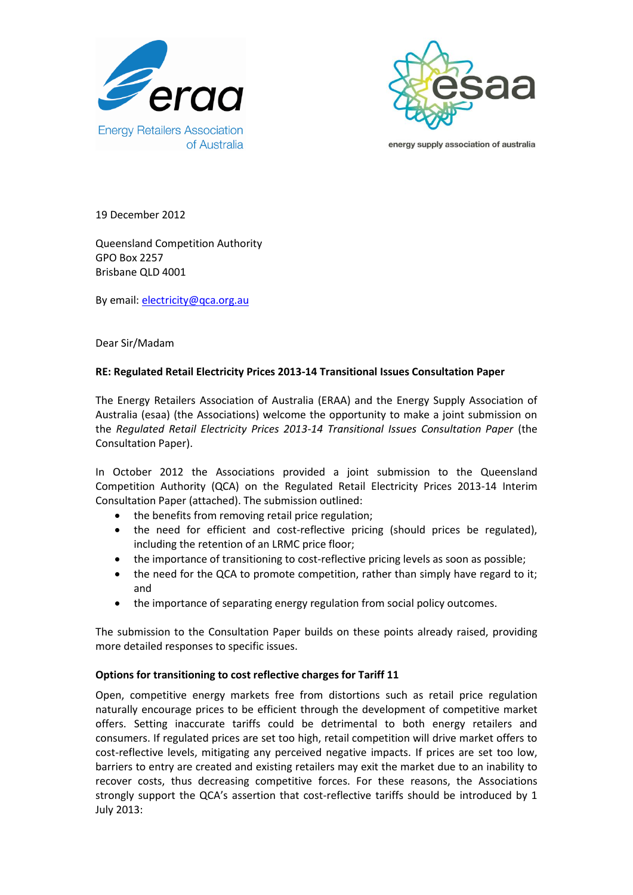



energy supply association of australia

19 December 2012

Queensland Competition Authority GPO Box 2257 Brisbane QLD 4001

By email: [electricity@qca.org.au](mailto:electricity@qca.org.au)

Dear Sir/Madam

## **RE: Regulated Retail Electricity Prices 2013-14 Transitional Issues Consultation Paper**

The Energy Retailers Association of Australia (ERAA) and the Energy Supply Association of Australia (esaa) (the Associations) welcome the opportunity to make a joint submission on the *Regulated Retail Electricity Prices 2013-14 Transitional Issues Consultation Paper* (the Consultation Paper).

In October 2012 the Associations provided a joint submission to the Queensland Competition Authority (QCA) on the Regulated Retail Electricity Prices 2013-14 Interim Consultation Paper (attached). The submission outlined:

- the benefits from removing retail price regulation;
- the need for efficient and cost-reflective pricing (should prices be regulated), including the retention of an LRMC price floor;
- the importance of transitioning to cost-reflective pricing levels as soon as possible;
- the need for the QCA to promote competition, rather than simply have regard to it; and
- the importance of separating energy regulation from social policy outcomes.

The submission to the Consultation Paper builds on these points already raised, providing more detailed responses to specific issues.

## **Options for transitioning to cost reflective charges for Tariff 11**

Open, competitive energy markets free from distortions such as retail price regulation naturally encourage prices to be efficient through the development of competitive market offers. Setting inaccurate tariffs could be detrimental to both energy retailers and consumers. If regulated prices are set too high, retail competition will drive market offers to cost-reflective levels, mitigating any perceived negative impacts. If prices are set too low, barriers to entry are created and existing retailers may exit the market due to an inability to recover costs, thus decreasing competitive forces. For these reasons, the Associations strongly support the QCA's assertion that cost-reflective tariffs should be introduced by 1 July 2013: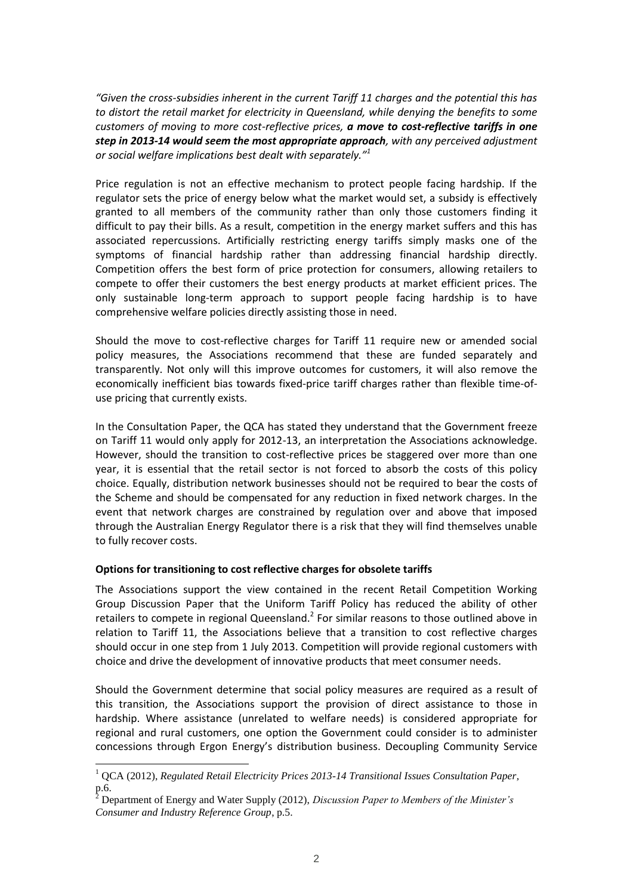*"Given the cross-subsidies inherent in the current Tariff 11 charges and the potential this has to distort the retail market for electricity in Queensland, while denying the benefits to some customers of moving to more cost-reflective prices, a move to cost-reflective tariffs in one step in 2013-14 would seem the most appropriate approach, with any perceived adjustment or social welfare implications best dealt with separately."<sup>1</sup>*

Price regulation is not an effective mechanism to protect people facing hardship. If the regulator sets the price of energy below what the market would set, a subsidy is effectively granted to all members of the community rather than only those customers finding it difficult to pay their bills. As a result, competition in the energy market suffers and this has associated repercussions. Artificially restricting energy tariffs simply masks one of the symptoms of financial hardship rather than addressing financial hardship directly. Competition offers the best form of price protection for consumers, allowing retailers to compete to offer their customers the best energy products at market efficient prices. The only sustainable long-term approach to support people facing hardship is to have comprehensive welfare policies directly assisting those in need.

Should the move to cost-reflective charges for Tariff 11 require new or amended social policy measures, the Associations recommend that these are funded separately and transparently. Not only will this improve outcomes for customers, it will also remove the economically inefficient bias towards fixed-price tariff charges rather than flexible time-ofuse pricing that currently exists.

In the Consultation Paper, the QCA has stated they understand that the Government freeze on Tariff 11 would only apply for 2012-13, an interpretation the Associations acknowledge. However, should the transition to cost-reflective prices be staggered over more than one year, it is essential that the retail sector is not forced to absorb the costs of this policy choice. Equally, distribution network businesses should not be required to bear the costs of the Scheme and should be compensated for any reduction in fixed network charges. In the event that network charges are constrained by regulation over and above that imposed through the Australian Energy Regulator there is a risk that they will find themselves unable to fully recover costs.

## **Options for transitioning to cost reflective charges for obsolete tariffs**

The Associations support the view contained in the recent Retail Competition Working Group Discussion Paper that the Uniform Tariff Policy has reduced the ability of other retailers to compete in regional Queensland.<sup>2</sup> For similar reasons to those outlined above in relation to Tariff 11, the Associations believe that a transition to cost reflective charges should occur in one step from 1 July 2013. Competition will provide regional customers with choice and drive the development of innovative products that meet consumer needs.

Should the Government determine that social policy measures are required as a result of this transition, the Associations support the provision of direct assistance to those in hardship. Where assistance (unrelated to welfare needs) is considered appropriate for regional and rural customers, one option the Government could consider is to administer concessions through Ergon Energy's distribution business. Decoupling Community Service

<sup>1</sup> QCA (2012), *Regulated Retail Electricity Prices 2013-14 Transitional Issues Consultation Paper,*   $p.6.$ 

<sup>2</sup> Department of Energy and Water Supply (2012), *Discussion Paper to Members of the Minister's Consumer and Industry Reference Group*, p.5.